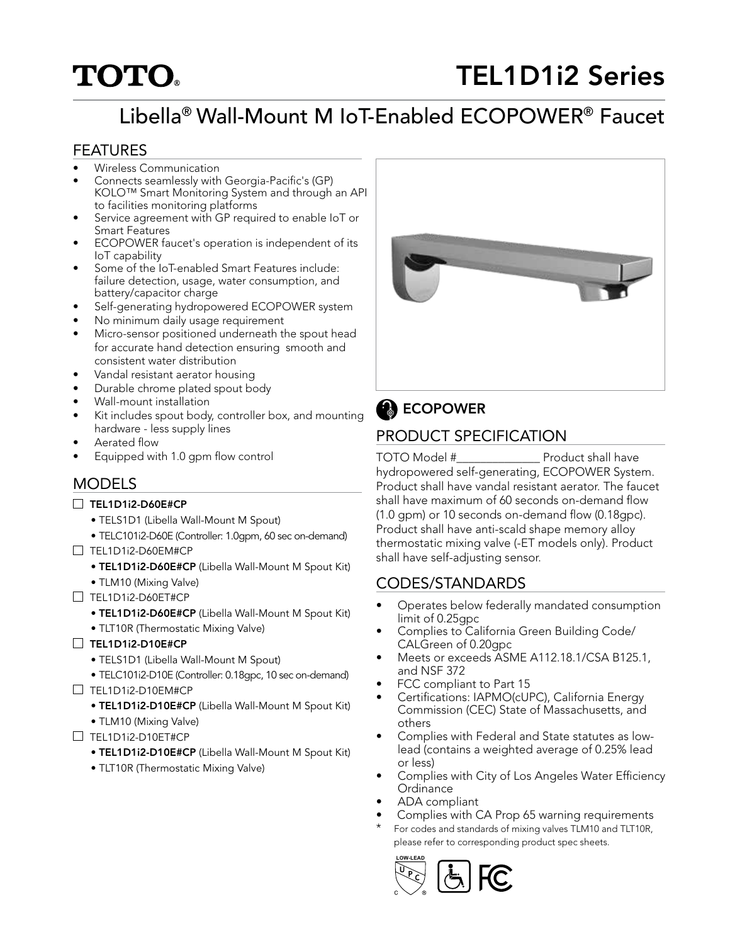# **TOTO**

# TEL1D1i2 Series

# Libella® Wall-Mount M IoT-Enabled ECOPOWER® Faucet

#### FEATURES

- Wireless Communication
- Connects seamlessly with Georgia-Pacific's (GP) KOLO™ Smart Monitoring System and through an API to facilities monitoring platforms
- Service agreement with GP required to enable IoT or Smart Features
- ECOPOWER faucet's operation is independent of its IoT capability
- Some of the IoT-enabled Smart Features include: failure detection, usage, water consumption, and battery/capacitor charge
- Self-generating hydropowered ECOPOWER system
- No minimum daily usage requirement
- Micro-sensor positioned underneath the spout head for accurate hand detection ensuring smooth and consistent water distribution
- Vandal resistant aerator housing
- Durable chrome plated spout body
- Wall-mount installation
- Kit includes spout body, controller box, and mounting hardware - less supply lines
- Aerated flow
- Equipped with 1.0 gpm flow control

#### **MODELS**

- □ TEL1D1i2-D60E#CP
	- TELS1D1 (Libella Wall-Mount M Spout)
	- TELC101i2-D60E (Controller: 1.0gpm, 60 sec on-demand)
- $\Box$  TEL1D1i2-D60EM#CP
	- TEL1D1i2-D60E#CP (Libella Wall-Mount M Spout Kit)
	- TLM10 (Mixing Valve)
- $\Box$  TEL1D1i2-D60ET#CP
	- TEL1D1i2-D60E#CP (Libella Wall-Mount M Spout Kit)
	- TLT10R (Thermostatic Mixing Valve)
- $\Box$  TEL1D1i2-D10E#CP
	- TELS1D1 (Libella Wall-Mount M Spout)
	- TELC101i2-D10E (Controller: 0.18gpc, 10 sec on-demand)
- $\Box$  TEL1D1i2-D10EM#CP
	- TEL1D1i2-D10E#CP (Libella Wall-Mount M Spout Kit)
	- TLM10 (Mixing Valve)
- $\Box$  TFI 1D1i2-D10FT#CP
	- TEL1D1i2-D10E#CP (Libella Wall-Mount M Spout Kit)
	- TLT10R (Thermostatic Mixing Valve)



## **B** ECOPOWER

### PRODUCT SPECIFICATION

TOTO Model #\_\_\_\_\_\_\_\_\_\_\_\_\_\_ Product shall have hydropowered self-generating, ECOPOWER System. Product shall have vandal resistant aerator. The faucet shall have maximum of 60 seconds on-demand flow (1.0 gpm) or 10 seconds on-demand flow (0.18gpc). Product shall have anti-scald shape memory alloy thermostatic mixing valve (-ET models only). Product shall have self-adjusting sensor.

#### CODES/STANDARDS

- Operates below federally mandated consumption limit of 0.25gpc
- Complies to California Green Building Code/ CALGreen of 0.20gpc
- Meets or exceeds ASME A112.18.1/CSA B125.1, and NSF 372
- FCC compliant to Part 15
- Certifications: IAPMO(cUPC), California Energy Commission (CEC) State of Massachusetts, and others
- Complies with Federal and State statutes as lowlead (contains a weighted average of 0.25% lead or less)
- Complies with City of Los Angeles Water Efficiency **Ordinance**
- ADA compliant
- Complies with CA Prop 65 warning requirements
- For codes and standards of mixing valves TLM10 and TLT10R, please refer to corresponding product spec sheets.